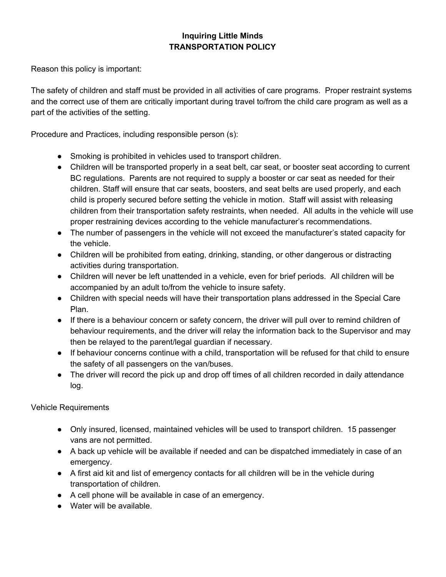## **Inquiring Little Minds TRANSPORTATION POLICY**

Reason this policy is important:

The safety of children and staff must be provided in all activities of care programs. Proper restraint systems and the correct use of them are critically important during travel to/from the child care program as well as a part of the activities of the setting.

Procedure and Practices, including responsible person (s):

- Smoking is prohibited in vehicles used to transport children.
- Children will be transported properly in a seat belt, car seat, or booster seat according to current BC regulations. Parents are not required to supply a booster or car seat as needed for their children. Staff will ensure that car seats, boosters, and seat belts are used properly, and each child is properly secured before setting the vehicle in motion. Staff will assist with releasing children from their transportation safety restraints, when needed. All adults in the vehicle will use proper restraining devices according to the vehicle manufacturer's recommendations.
- The number of passengers in the vehicle will not exceed the manufacturer's stated capacity for the vehicle.
- Children will be prohibited from eating, drinking, standing, or other dangerous or distracting activities during transportation.
- Children will never be left unattended in a vehicle, even for brief periods. All children will be accompanied by an adult to/from the vehicle to insure safety.
- Children with special needs will have their transportation plans addressed in the Special Care Plan.
- If there is a behaviour concern or safety concern, the driver will pull over to remind children of behaviour requirements, and the driver will relay the information back to the Supervisor and may then be relayed to the parent/legal guardian if necessary.
- If behaviour concerns continue with a child, transportation will be refused for that child to ensure the safety of all passengers on the van/buses.
- The driver will record the pick up and drop off times of all children recorded in daily attendance log.

Vehicle Requirements

- Only insured, licensed, maintained vehicles will be used to transport children. 15 passenger vans are not permitted.
- A back up vehicle will be available if needed and can be dispatched immediately in case of an emergency.
- A first aid kit and list of emergency contacts for all children will be in the vehicle during transportation of children.
- A cell phone will be available in case of an emergency.
- Water will be available.